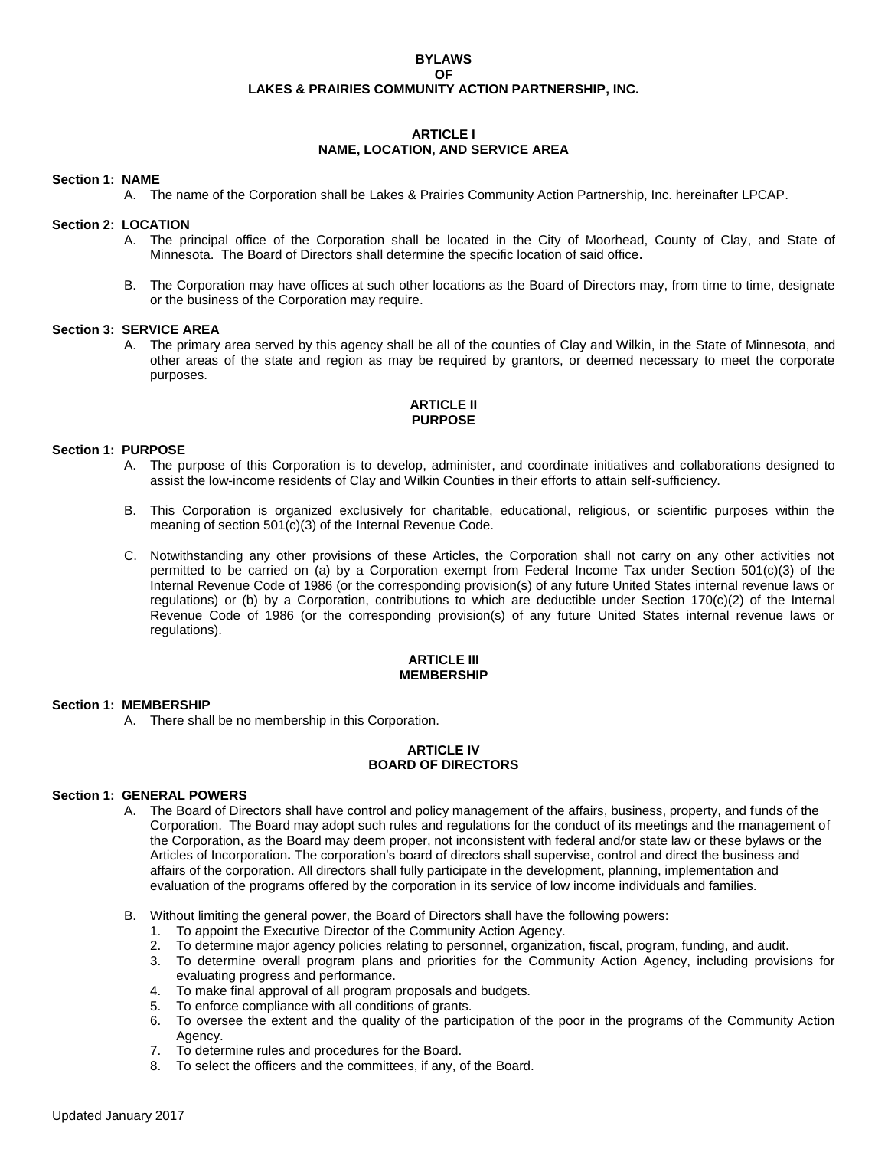### **BYLAWS OF LAKES & PRAIRIES COMMUNITY ACTION PARTNERSHIP, INC.**

# **ARTICLE I NAME, LOCATION, AND SERVICE AREA**

### **Section 1: NAME**

A. The name of the Corporation shall be Lakes & Prairies Community Action Partnership, Inc. hereinafter LPCAP.

### **Section 2: LOCATION**

- A. The principal office of the Corporation shall be located in the City of Moorhead, County of Clay, and State of Minnesota. The Board of Directors shall determine the specific location of said office**.**
- B. The Corporation may have offices at such other locations as the Board of Directors may, from time to time, designate or the business of the Corporation may require.

#### **Section 3: SERVICE AREA**

A. The primary area served by this agency shall be all of the counties of Clay and Wilkin, in the State of Minnesota, and other areas of the state and region as may be required by grantors, or deemed necessary to meet the corporate purposes.

### **ARTICLE II PURPOSE**

### **Section 1: PURPOSE**

- A. The purpose of this Corporation is to develop, administer, and coordinate initiatives and collaborations designed to assist the low-income residents of Clay and Wilkin Counties in their efforts to attain self-sufficiency.
- B. This Corporation is organized exclusively for charitable, educational, religious, or scientific purposes within the meaning of section 501(c)(3) of the Internal Revenue Code.
- C. Notwithstanding any other provisions of these Articles, the Corporation shall not carry on any other activities not permitted to be carried on (a) by a Corporation exempt from Federal Income Tax under Section 501(c)(3) of the Internal Revenue Code of 1986 (or the corresponding provision(s) of any future United States internal revenue laws or regulations) or (b) by a Corporation, contributions to which are deductible under Section 170(c)(2) of the Internal Revenue Code of 1986 (or the corresponding provision(s) of any future United States internal revenue laws or regulations).

#### **ARTICLE III MEMBERSHIP**

#### **Section 1: MEMBERSHIP**

A. There shall be no membership in this Corporation.

#### **ARTICLE IV BOARD OF DIRECTORS**

#### **Section 1: GENERAL POWERS**

- A. The Board of Directors shall have control and policy management of the affairs, business, property, and funds of the Corporation. The Board may adopt such rules and regulations for the conduct of its meetings and the management of the Corporation, as the Board may deem proper, not inconsistent with federal and/or state law or these bylaws or the Articles of Incorporation**.** The corporation's board of directors shall supervise, control and direct the business and affairs of the corporation. All directors shall fully participate in the development, planning, implementation and evaluation of the programs offered by the corporation in its service of low income individuals and families.
- B. Without limiting the general power, the Board of Directors shall have the following powers:
	- 1. To appoint the Executive Director of the Community Action Agency.
	- 2. To determine major agency policies relating to personnel, organization, fiscal, program, funding, and audit.
	- 3. To determine overall program plans and priorities for the Community Action Agency, including provisions for evaluating progress and performance.
	- 4. To make final approval of all program proposals and budgets.
	- 5. To enforce compliance with all conditions of grants.
	- 6. To oversee the extent and the quality of the participation of the poor in the programs of the Community Action Agency.
	- 7. To determine rules and procedures for the Board.
	- 8. To select the officers and the committees, if any, of the Board.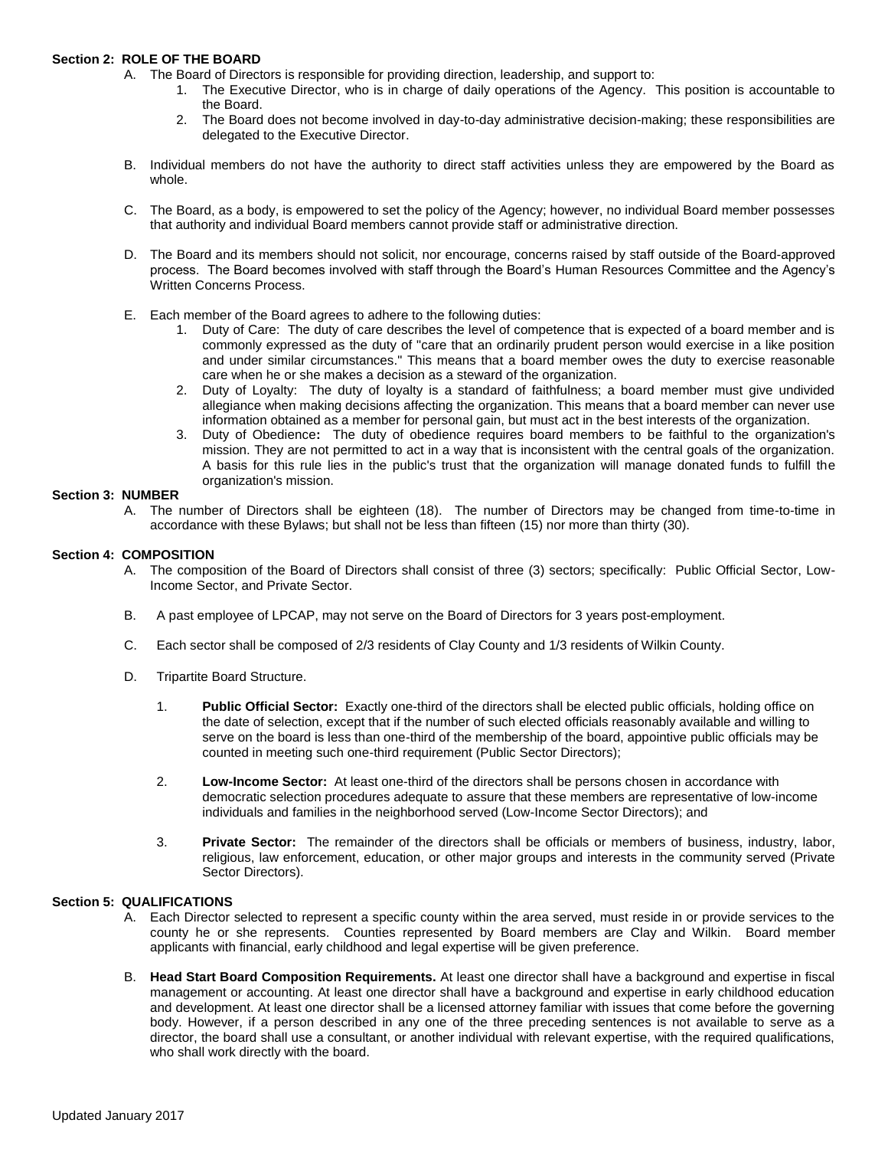## **Section 2: ROLE OF THE BOARD**

- A. The Board of Directors is responsible for providing direction, leadership, and support to:
	- 1. The Executive Director, who is in charge of daily operations of the Agency. This position is accountable to the Board.
	- 2. The Board does not become involved in day-to-day administrative decision-making; these responsibilities are delegated to the Executive Director.
- B. Individual members do not have the authority to direct staff activities unless they are empowered by the Board as whole.
- C. The Board, as a body, is empowered to set the policy of the Agency; however, no individual Board member possesses that authority and individual Board members cannot provide staff or administrative direction.
- D. The Board and its members should not solicit, nor encourage, concerns raised by staff outside of the Board-approved process. The Board becomes involved with staff through the Board's Human Resources Committee and the Agency's Written Concerns Process.
- E. Each member of the Board agrees to adhere to the following duties:
	- 1. Duty of Care: The duty of care describes the level of competence that is expected of a board member and is commonly expressed as the duty of "care that an ordinarily prudent person would exercise in a like position and under similar circumstances." This means that a board member owes the duty to exercise reasonable care when he or she makes a decision as a steward of the organization.
	- 2. Duty of Loyalty: The duty of loyalty is a standard of faithfulness; a board member must give undivided allegiance when making decisions affecting the organization. This means that a board member can never use information obtained as a member for personal gain, but must act in the best interests of the organization.
	- 3. Duty of Obedience**:** The duty of obedience requires board members to be faithful to the organization's mission. They are not permitted to act in a way that is inconsistent with the central goals of the organization. A basis for this rule lies in the public's trust that the organization will manage donated funds to fulfill the organization's mission.

### **Section 3: NUMBER**

A. The number of Directors shall be eighteen (18). The number of Directors may be changed from time-to-time in accordance with these Bylaws; but shall not be less than fifteen (15) nor more than thirty (30).

## **Section 4: COMPOSITION**

- A. The composition of the Board of Directors shall consist of three (3) sectors; specifically: Public Official Sector, Low-Income Sector, and Private Sector.
- B. A past employee of LPCAP, may not serve on the Board of Directors for 3 years post-employment.
- C. Each sector shall be composed of 2/3 residents of Clay County and 1/3 residents of Wilkin County.
- D. Tripartite Board Structure.
	- 1. **Public Official Sector:** Exactly one-third of the directors shall be elected public officials, holding office on the date of selection, except that if the number of such elected officials reasonably available and willing to serve on the board is less than one-third of the membership of the board, appointive public officials may be counted in meeting such one-third requirement (Public Sector Directors);
	- 2. **Low-Income Sector:** At least one-third of the directors shall be persons chosen in accordance with democratic selection procedures adequate to assure that these members are representative of low-income individuals and families in the neighborhood served (Low-Income Sector Directors); and
	- 3. **Private Sector:** The remainder of the directors shall be officials or members of business, industry, labor, religious, law enforcement, education, or other major groups and interests in the community served (Private Sector Directors).

# **Section 5: QUALIFICATIONS**

- A. Each Director selected to represent a specific county within the area served, must reside in or provide services to the county he or she represents. Counties represented by Board members are Clay and Wilkin. Board member applicants with financial, early childhood and legal expertise will be given preference.
- B. **Head Start Board Composition Requirements.** At least one director shall have a background and expertise in fiscal management or accounting. At least one director shall have a background and expertise in early childhood education and development. At least one director shall be a licensed attorney familiar with issues that come before the governing body. However, if a person described in any one of the three preceding sentences is not available to serve as a director, the board shall use a consultant, or another individual with relevant expertise, with the required qualifications, who shall work directly with the board.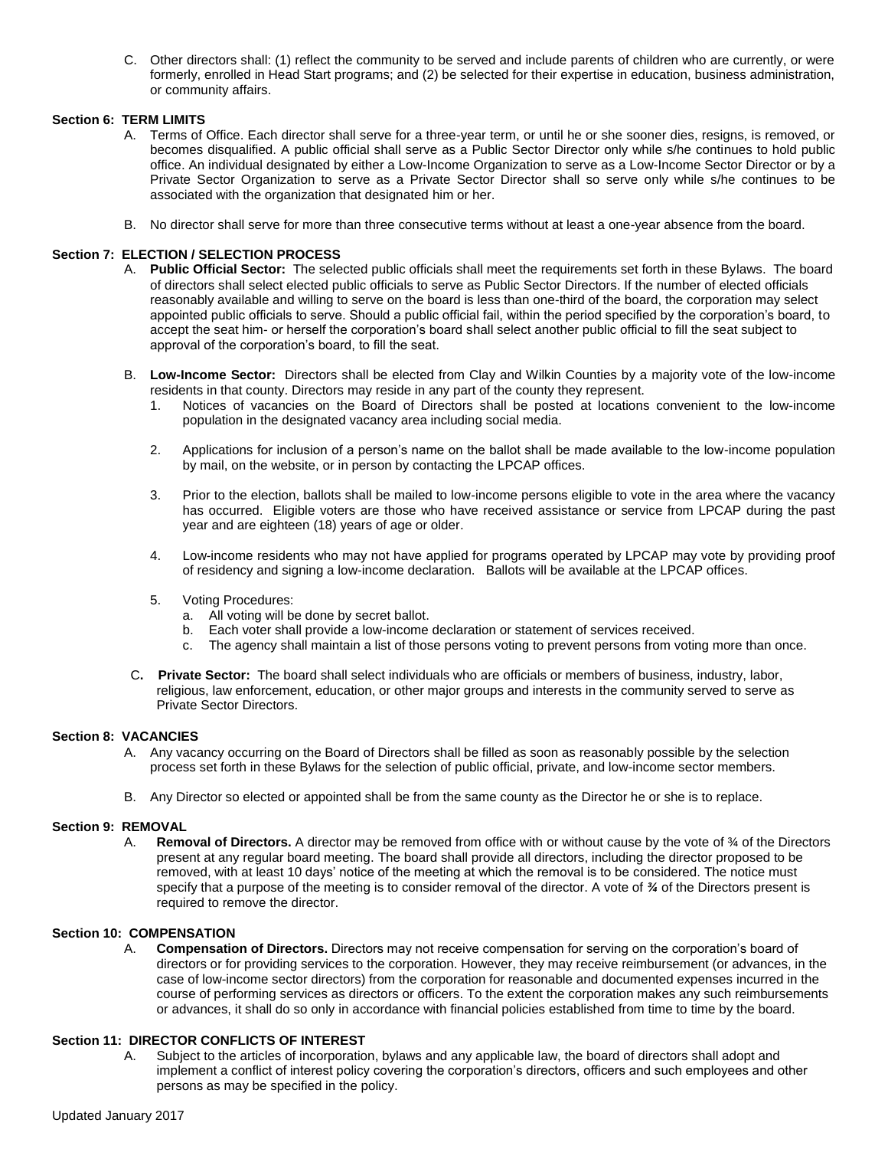C. Other directors shall: (1) reflect the community to be served and include parents of children who are currently, or were formerly, enrolled in Head Start programs; and (2) be selected for their expertise in education, business administration, or community affairs.

# **Section 6: TERM LIMITS**

- A. Terms of Office. Each director shall serve for a three-year term, or until he or she sooner dies, resigns, is removed, or becomes disqualified. A public official shall serve as a Public Sector Director only while s/he continues to hold public office. An individual designated by either a Low-Income Organization to serve as a Low-Income Sector Director or by a Private Sector Organization to serve as a Private Sector Director shall so serve only while s/he continues to be associated with the organization that designated him or her.
- B. No director shall serve for more than three consecutive terms without at least a one-year absence from the board.

## **Section 7: ELECTION / SELECTION PROCESS**

- A. **Public Official Sector:** The selected public officials shall meet the requirements set forth in these Bylaws. The board of directors shall select elected public officials to serve as Public Sector Directors. If the number of elected officials reasonably available and willing to serve on the board is less than one-third of the board, the corporation may select appointed public officials to serve. Should a public official fail, within the period specified by the corporation's board, to accept the seat him- or herself the corporation's board shall select another public official to fill the seat subject to approval of the corporation's board, to fill the seat.
- B. **Low-Income Sector:** Directors shall be elected from Clay and Wilkin Counties by a majority vote of the low-income residents in that county. Directors may reside in any part of the county they represent.
	- Notices of vacancies on the Board of Directors shall be posted at locations convenient to the low-income population in the designated vacancy area including social media.
	- 2. Applications for inclusion of a person's name on the ballot shall be made available to the low-income population by mail, on the website, or in person by contacting the LPCAP offices.
	- 3. Prior to the election, ballots shall be mailed to low-income persons eligible to vote in the area where the vacancy has occurred. Eligible voters are those who have received assistance or service from LPCAP during the past year and are eighteen (18) years of age or older.
	- 4. Low-income residents who may not have applied for programs operated by LPCAP may vote by providing proof of residency and signing a low-income declaration. Ballots will be available at the LPCAP offices.
	- 5. Voting Procedures:
		- a. All voting will be done by secret ballot.
		- b. Each voter shall provide a low-income declaration or statement of services received.
		- c. The agency shall maintain a list of those persons voting to prevent persons from voting more than once.
- C**. Private Sector:** The board shall select individuals who are officials or members of business, industry, labor, religious, law enforcement, education, or other major groups and interests in the community served to serve as Private Sector Directors.

## **Section 8: VACANCIES**

- A. Any vacancy occurring on the Board of Directors shall be filled as soon as reasonably possible by the selection process set forth in these Bylaws for the selection of public official, private, and low-income sector members.
- B. Any Director so elected or appointed shall be from the same county as the Director he or she is to replace.

## **Section 9: REMOVAL**

A. **Removal of Directors.** A director may be removed from office with or without cause by the vote of ¾ of the Directors present at any regular board meeting. The board shall provide all directors, including the director proposed to be removed, with at least 10 days' notice of the meeting at which the removal is to be considered. The notice must specify that a purpose of the meeting is to consider removal of the director. A vote of *¾* of the Directors present is required to remove the director.

# **Section 10: COMPENSATION**

A. **Compensation of Directors.** Directors may not receive compensation for serving on the corporation's board of directors or for providing services to the corporation. However, they may receive reimbursement (or advances, in the case of low-income sector directors) from the corporation for reasonable and documented expenses incurred in the course of performing services as directors or officers. To the extent the corporation makes any such reimbursements or advances, it shall do so only in accordance with financial policies established from time to time by the board.

## **Section 11: DIRECTOR CONFLICTS OF INTEREST**

A. Subject to the articles of incorporation, bylaws and any applicable law, the board of directors shall adopt and implement a conflict of interest policy covering the corporation's directors, officers and such employees and other persons as may be specified in the policy.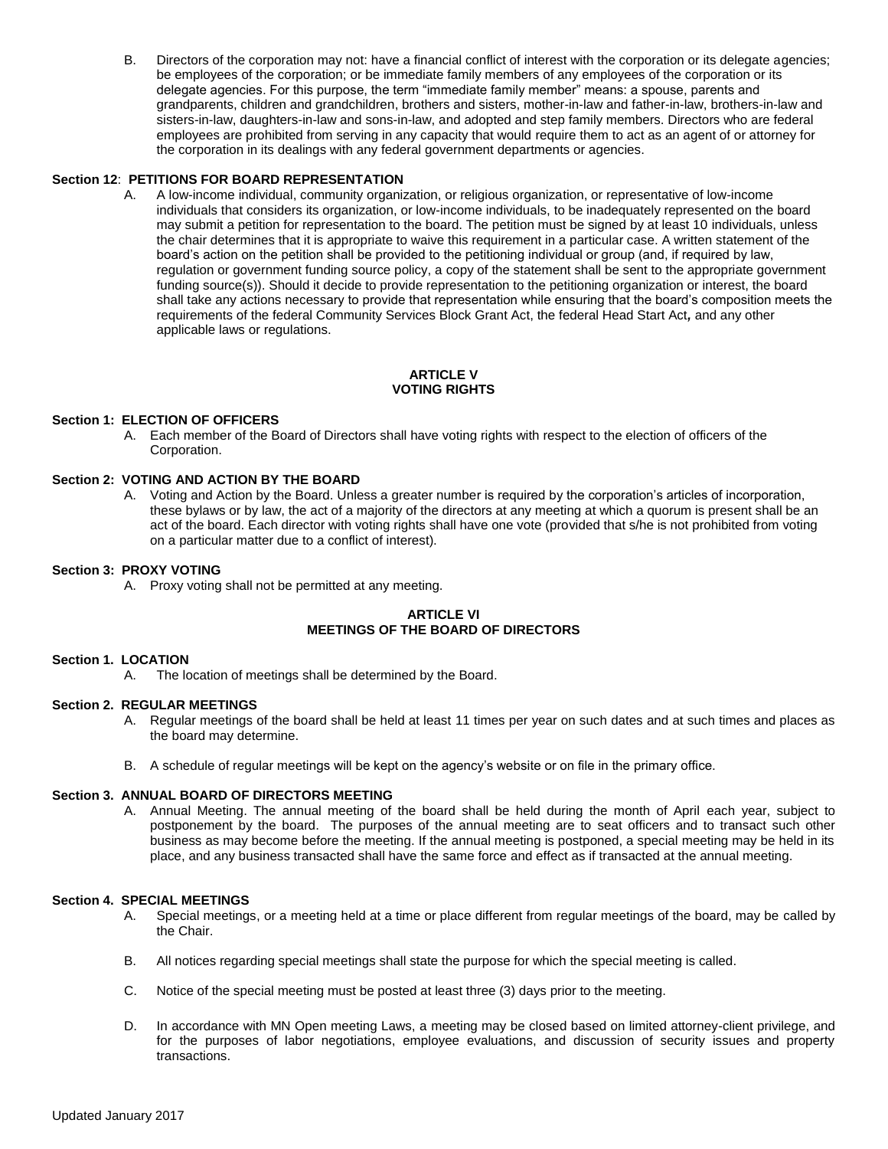B. Directors of the corporation may not: have a financial conflict of interest with the corporation or its delegate agencies; be employees of the corporation; or be immediate family members of any employees of the corporation or its delegate agencies. For this purpose, the term "immediate family member" means: a spouse, parents and grandparents, children and grandchildren, brothers and sisters, mother-in-law and father-in-law, brothers-in-law and sisters-in-law, daughters-in-law and sons-in-law, and adopted and step family members. Directors who are federal employees are prohibited from serving in any capacity that would require them to act as an agent of or attorney for the corporation in its dealings with any federal government departments or agencies.

## **Section 12**: **PETITIONS FOR BOARD REPRESENTATION**

A. A low-income individual, community organization, or religious organization, or representative of low-income individuals that considers its organization, or low-income individuals, to be inadequately represented on the board may submit a petition for representation to the board. The petition must be signed by at least 10 individuals, unless the chair determines that it is appropriate to waive this requirement in a particular case. A written statement of the board's action on the petition shall be provided to the petitioning individual or group (and, if required by law, regulation or government funding source policy, a copy of the statement shall be sent to the appropriate government funding source(s)). Should it decide to provide representation to the petitioning organization or interest, the board shall take any actions necessary to provide that representation while ensuring that the board's composition meets the requirements of the federal Community Services Block Grant Act, the federal Head Start Act*,* and any other applicable laws or regulations.

## **ARTICLE V VOTING RIGHTS**

# **Section 1: ELECTION OF OFFICERS**

A. Each member of the Board of Directors shall have voting rights with respect to the election of officers of the Corporation.

## **Section 2: VOTING AND ACTION BY THE BOARD**

A. Voting and Action by the Board. Unless a greater number is required by the corporation's articles of incorporation, these bylaws or by law, the act of a majority of the directors at any meeting at which a quorum is present shall be an act of the board. Each director with voting rights shall have one vote (provided that s/he is not prohibited from voting on a particular matter due to a conflict of interest).

### **Section 3: PROXY VOTING**

A. Proxy voting shall not be permitted at any meeting.

## **ARTICLE VI MEETINGS OF THE BOARD OF DIRECTORS**

## **Section 1. LOCATION**

A. The location of meetings shall be determined by the Board.

## **Section 2. REGULAR MEETINGS**

- A. Regular meetings of the board shall be held at least 11 times per year on such dates and at such times and places as the board may determine.
- B. A schedule of regular meetings will be kept on the agency's website or on file in the primary office.

## **Section 3. ANNUAL BOARD OF DIRECTORS MEETING**

A. Annual Meeting. The annual meeting of the board shall be held during the month of April each year, subject to postponement by the board. The purposes of the annual meeting are to seat officers and to transact such other business as may become before the meeting. If the annual meeting is postponed, a special meeting may be held in its place, and any business transacted shall have the same force and effect as if transacted at the annual meeting.

### **Section 4. SPECIAL MEETINGS**

- A. Special meetings, or a meeting held at a time or place different from regular meetings of the board, may be called by the Chair.
- B. All notices regarding special meetings shall state the purpose for which the special meeting is called.
- C. Notice of the special meeting must be posted at least three (3) days prior to the meeting.
- D. In accordance with MN Open meeting Laws, a meeting may be closed based on limited attorney-client privilege, and for the purposes of labor negotiations, employee evaluations, and discussion of security issues and property transactions.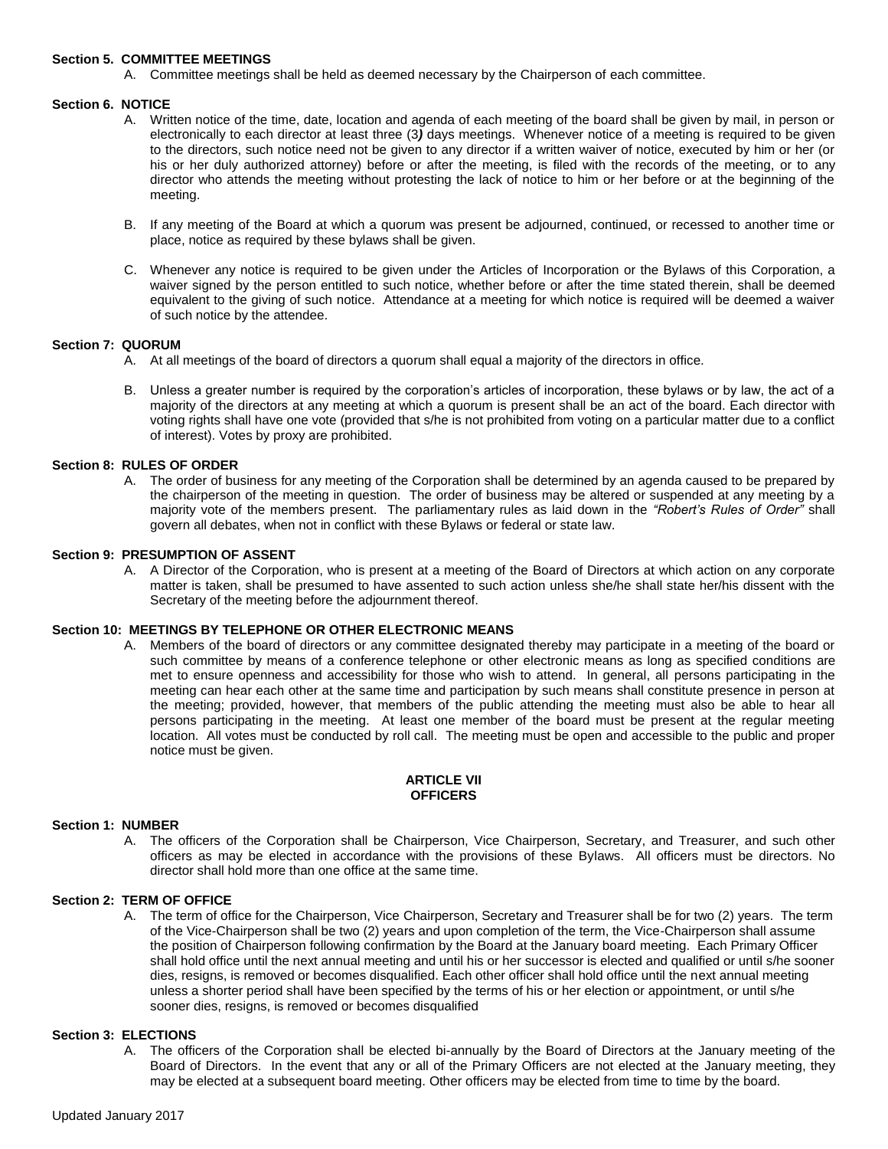### **Section 5. COMMITTEE MEETINGS**

A. Committee meetings shall be held as deemed necessary by the Chairperson of each committee.

### **Section 6. NOTICE**

- A. Written notice of the time, date, location and agenda of each meeting of the board shall be given by mail, in person or electronically to each director at least three (3*)* days meetings. Whenever notice of a meeting is required to be given to the directors, such notice need not be given to any director if a written waiver of notice, executed by him or her (or his or her duly authorized attorney) before or after the meeting, is filed with the records of the meeting, or to any director who attends the meeting without protesting the lack of notice to him or her before or at the beginning of the meeting.
- B. If any meeting of the Board at which a quorum was present be adjourned, continued, or recessed to another time or place, notice as required by these bylaws shall be given.
- C. Whenever any notice is required to be given under the Articles of Incorporation or the Bylaws of this Corporation, a waiver signed by the person entitled to such notice, whether before or after the time stated therein, shall be deemed equivalent to the giving of such notice. Attendance at a meeting for which notice is required will be deemed a waiver of such notice by the attendee.

### **Section 7: QUORUM**

- A. At all meetings of the board of directors a quorum shall equal a majority of the directors in office.
- B. Unless a greater number is required by the corporation's articles of incorporation, these bylaws or by law, the act of a majority of the directors at any meeting at which a quorum is present shall be an act of the board. Each director with voting rights shall have one vote (provided that s/he is not prohibited from voting on a particular matter due to a conflict of interest). Votes by proxy are prohibited.

## **Section 8: RULES OF ORDER**

A. The order of business for any meeting of the Corporation shall be determined by an agenda caused to be prepared by the chairperson of the meeting in question. The order of business may be altered or suspended at any meeting by a majority vote of the members present. The parliamentary rules as laid down in the *"Robert's Rules of Order"* shall govern all debates, when not in conflict with these Bylaws or federal or state law.

### **Section 9: PRESUMPTION OF ASSENT**

A. A Director of the Corporation, who is present at a meeting of the Board of Directors at which action on any corporate matter is taken, shall be presumed to have assented to such action unless she/he shall state her/his dissent with the Secretary of the meeting before the adjournment thereof.

## **Section 10: MEETINGS BY TELEPHONE OR OTHER ELECTRONIC MEANS**

A. Members of the board of directors or any committee designated thereby may participate in a meeting of the board or such committee by means of a conference telephone or other electronic means as long as specified conditions are met to ensure openness and accessibility for those who wish to attend. In general, all persons participating in the meeting can hear each other at the same time and participation by such means shall constitute presence in person at the meeting; provided, however, that members of the public attending the meeting must also be able to hear all persons participating in the meeting. At least one member of the board must be present at the regular meeting location. All votes must be conducted by roll call. The meeting must be open and accessible to the public and proper notice must be given.

## **ARTICLE VII OFFICERS**

## **Section 1: NUMBER**

A. The officers of the Corporation shall be Chairperson, Vice Chairperson, Secretary, and Treasurer, and such other officers as may be elected in accordance with the provisions of these Bylaws. All officers must be directors. No director shall hold more than one office at the same time.

## **Section 2: TERM OF OFFICE**

A. The term of office for the Chairperson, Vice Chairperson, Secretary and Treasurer shall be for two (2) years. The term of the Vice-Chairperson shall be two (2) years and upon completion of the term, the Vice-Chairperson shall assume the position of Chairperson following confirmation by the Board at the January board meeting. Each Primary Officer shall hold office until the next annual meeting and until his or her successor is elected and qualified or until s/he sooner dies, resigns, is removed or becomes disqualified. Each other officer shall hold office until the next annual meeting unless a shorter period shall have been specified by the terms of his or her election or appointment, or until s/he sooner dies, resigns, is removed or becomes disqualified

## **Section 3: ELECTIONS**

A. The officers of the Corporation shall be elected bi-annually by the Board of Directors at the January meeting of the Board of Directors. In the event that any or all of the Primary Officers are not elected at the January meeting, they may be elected at a subsequent board meeting. Other officers may be elected from time to time by the board.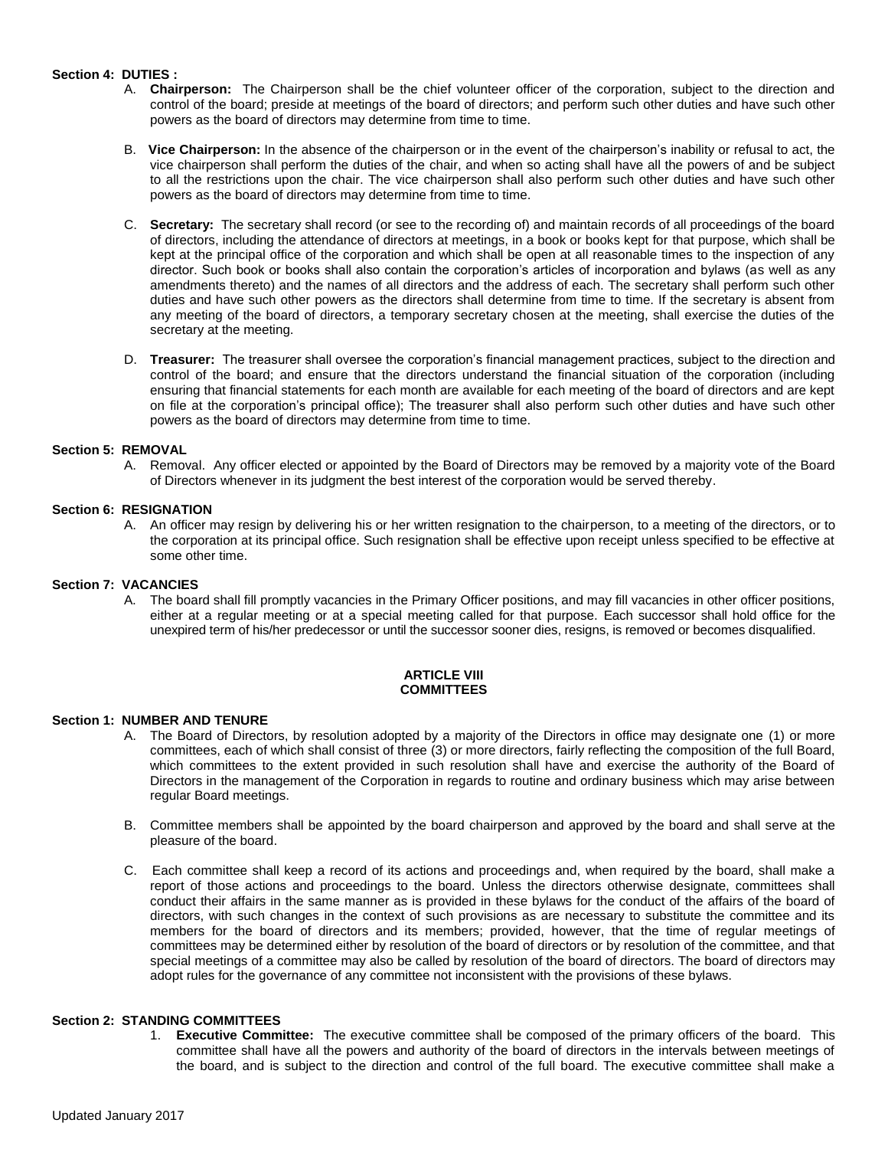# **Section 4: DUTIES :**

- A. **Chairperson:** The Chairperson shall be the chief volunteer officer of the corporation, subject to the direction and control of the board; preside at meetings of the board of directors; and perform such other duties and have such other powers as the board of directors may determine from time to time.
- B. **Vice Chairperson:** In the absence of the chairperson or in the event of the chairperson's inability or refusal to act, the vice chairperson shall perform the duties of the chair, and when so acting shall have all the powers of and be subject to all the restrictions upon the chair. The vice chairperson shall also perform such other duties and have such other powers as the board of directors may determine from time to time.
- C. **Secretary:** The secretary shall record (or see to the recording of) and maintain records of all proceedings of the board of directors, including the attendance of directors at meetings, in a book or books kept for that purpose, which shall be kept at the principal office of the corporation and which shall be open at all reasonable times to the inspection of any director. Such book or books shall also contain the corporation's articles of incorporation and bylaws (as well as any amendments thereto) and the names of all directors and the address of each. The secretary shall perform such other duties and have such other powers as the directors shall determine from time to time. If the secretary is absent from any meeting of the board of directors, a temporary secretary chosen at the meeting, shall exercise the duties of the secretary at the meeting.
- D. **Treasurer:** The treasurer shall oversee the corporation's financial management practices, subject to the direction and control of the board; and ensure that the directors understand the financial situation of the corporation (including ensuring that financial statements for each month are available for each meeting of the board of directors and are kept on file at the corporation's principal office); The treasurer shall also perform such other duties and have such other powers as the board of directors may determine from time to time.

## **Section 5: REMOVAL**

A. Removal. Any officer elected or appointed by the Board of Directors may be removed by a majority vote of the Board of Directors whenever in its judgment the best interest of the corporation would be served thereby.

## **Section 6: RESIGNATION**

A. An officer may resign by delivering his or her written resignation to the chairperson, to a meeting of the directors, or to the corporation at its principal office. Such resignation shall be effective upon receipt unless specified to be effective at some other time.

## **Section 7: VACANCIES**

A. The board shall fill promptly vacancies in the Primary Officer positions, and may fill vacancies in other officer positions, either at a regular meeting or at a special meeting called for that purpose. Each successor shall hold office for the unexpired term of his/her predecessor or until the successor sooner dies, resigns, is removed or becomes disqualified.

#### **ARTICLE VIII COMMITTEES**

## **Section 1: NUMBER AND TENURE**

- A. The Board of Directors, by resolution adopted by a majority of the Directors in office may designate one (1) or more committees, each of which shall consist of three (3) or more directors, fairly reflecting the composition of the full Board, which committees to the extent provided in such resolution shall have and exercise the authority of the Board of Directors in the management of the Corporation in regards to routine and ordinary business which may arise between regular Board meetings.
- B. Committee members shall be appointed by the board chairperson and approved by the board and shall serve at the pleasure of the board.
- C. Each committee shall keep a record of its actions and proceedings and, when required by the board, shall make a report of those actions and proceedings to the board. Unless the directors otherwise designate, committees shall conduct their affairs in the same manner as is provided in these bylaws for the conduct of the affairs of the board of directors, with such changes in the context of such provisions as are necessary to substitute the committee and its members for the board of directors and its members; provided, however, that the time of regular meetings of committees may be determined either by resolution of the board of directors or by resolution of the committee, and that special meetings of a committee may also be called by resolution of the board of directors. The board of directors may adopt rules for the governance of any committee not inconsistent with the provisions of these bylaws.

### **Section 2: STANDING COMMITTEES**

1. **Executive Committee:** The executive committee shall be composed of the primary officers of the board. This committee shall have all the powers and authority of the board of directors in the intervals between meetings of the board, and is subject to the direction and control of the full board. The executive committee shall make a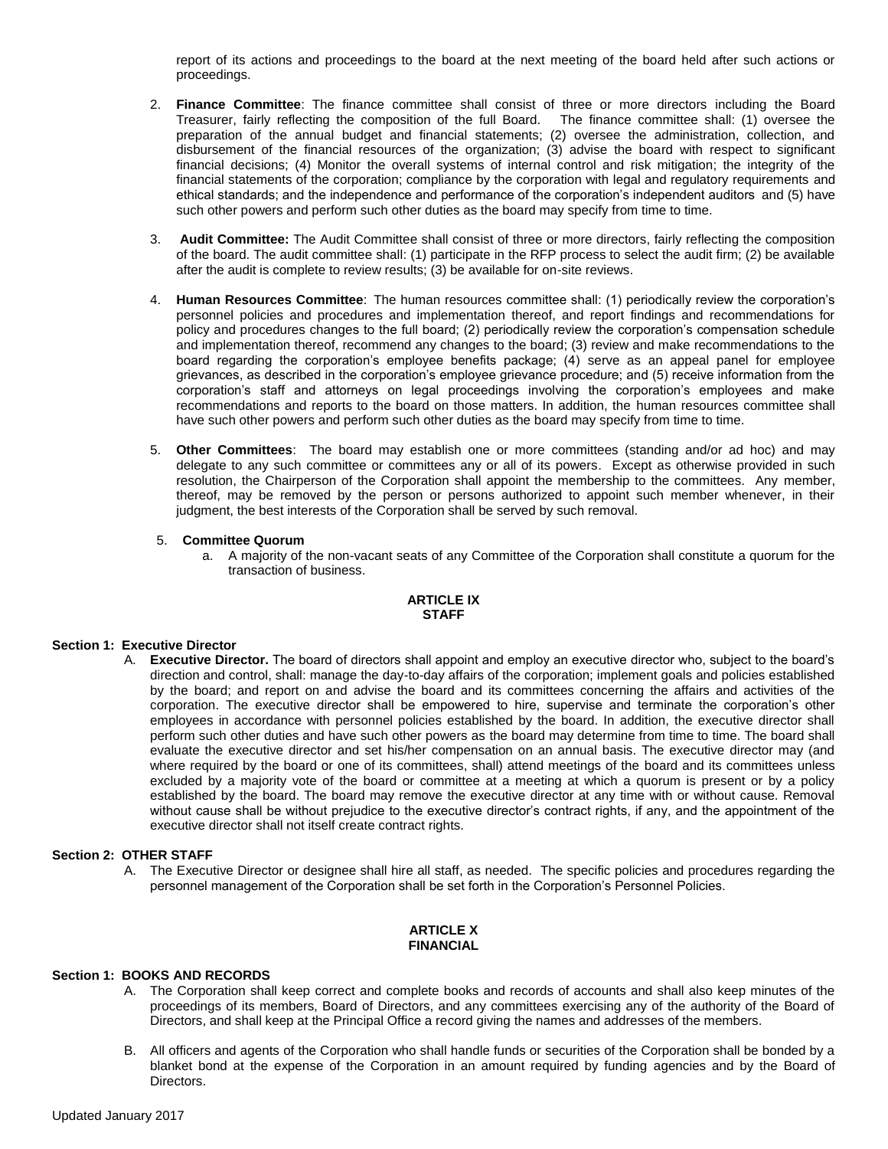report of its actions and proceedings to the board at the next meeting of the board held after such actions or proceedings.

- 2. **Finance Committee**: The finance committee shall consist of three or more directors including the Board Treasurer, fairly reflecting the composition of the full Board. The finance committee shall: (1) oversee the preparation of the annual budget and financial statements; (2) oversee the administration, collection, and disbursement of the financial resources of the organization; (3) advise the board with respect to significant financial decisions; (4) Monitor the overall systems of internal control and risk mitigation; the integrity of the financial statements of the corporation; compliance by the corporation with legal and regulatory requirements and ethical standards; and the independence and performance of the corporation's independent auditors and (5) have such other powers and perform such other duties as the board may specify from time to time.
- 3. **Audit Committee:** The Audit Committee shall consist of three or more directors, fairly reflecting the composition of the board. The audit committee shall: (1) participate in the RFP process to select the audit firm; (2) be available after the audit is complete to review results; (3) be available for on-site reviews.
- 4. **Human Resources Committee**: The human resources committee shall: (1) periodically review the corporation's personnel policies and procedures and implementation thereof, and report findings and recommendations for policy and procedures changes to the full board; (2) periodically review the corporation's compensation schedule and implementation thereof, recommend any changes to the board; (3) review and make recommendations to the board regarding the corporation's employee benefits package; (4) serve as an appeal panel for employee grievances, as described in the corporation's employee grievance procedure; and (5) receive information from the corporation's staff and attorneys on legal proceedings involving the corporation's employees and make recommendations and reports to the board on those matters. In addition, the human resources committee shall have such other powers and perform such other duties as the board may specify from time to time.
- 5. **Other Committees**: The board may establish one or more committees (standing and/or ad hoc) and may delegate to any such committee or committees any or all of its powers. Except as otherwise provided in such resolution, the Chairperson of the Corporation shall appoint the membership to the committees. Any member, thereof, may be removed by the person or persons authorized to appoint such member whenever, in their judgment, the best interests of the Corporation shall be served by such removal.

### 5. **Committee Quorum**

a. A majority of the non-vacant seats of any Committee of the Corporation shall constitute a quorum for the transaction of business.

### **ARTICLE IX STAFF**

## **Section 1: Executive Director**

A. **Executive Director.** The board of directors shall appoint and employ an executive director who, subject to the board's direction and control, shall: manage the day-to-day affairs of the corporation; implement goals and policies established by the board; and report on and advise the board and its committees concerning the affairs and activities of the corporation. The executive director shall be empowered to hire, supervise and terminate the corporation's other employees in accordance with personnel policies established by the board. In addition, the executive director shall perform such other duties and have such other powers as the board may determine from time to time. The board shall evaluate the executive director and set his/her compensation on an annual basis. The executive director may (and where required by the board or one of its committees, shall) attend meetings of the board and its committees unless excluded by a majority vote of the board or committee at a meeting at which a quorum is present or by a policy established by the board. The board may remove the executive director at any time with or without cause. Removal without cause shall be without prejudice to the executive director's contract rights, if any, and the appointment of the executive director shall not itself create contract rights.

#### **Section 2: OTHER STAFF**

A. The Executive Director or designee shall hire all staff, as needed. The specific policies and procedures regarding the personnel management of the Corporation shall be set forth in the Corporation's Personnel Policies.

# **ARTICLE X FINANCIAL**

## **Section 1: BOOKS AND RECORDS**

- A. The Corporation shall keep correct and complete books and records of accounts and shall also keep minutes of the proceedings of its members, Board of Directors, and any committees exercising any of the authority of the Board of Directors, and shall keep at the Principal Office a record giving the names and addresses of the members.
- B. All officers and agents of the Corporation who shall handle funds or securities of the Corporation shall be bonded by a blanket bond at the expense of the Corporation in an amount required by funding agencies and by the Board of Directors.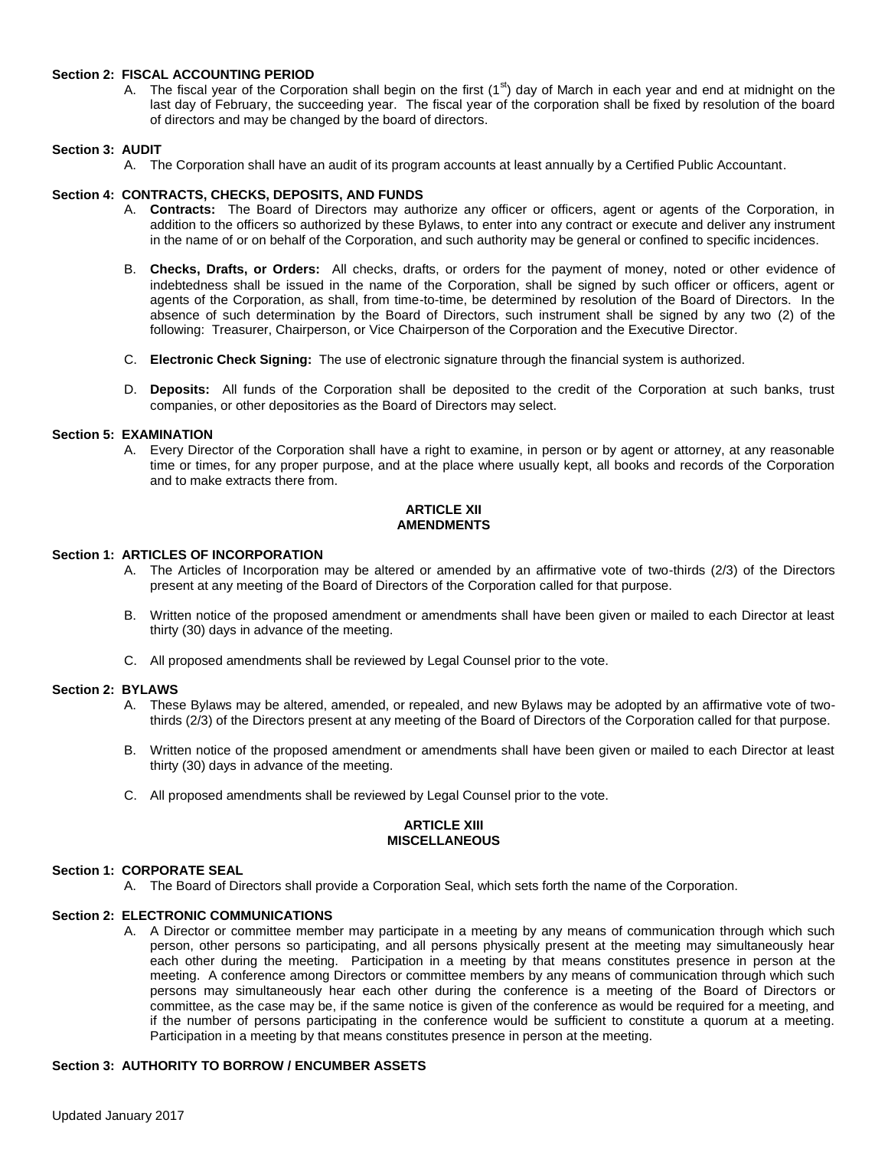## **Section 2: FISCAL ACCOUNTING PERIOD**

A. The fiscal year of the Corporation shall begin on the first  $(1<sup>st</sup>)$  day of March in each year and end at midnight on the last day of February, the succeeding year. The fiscal year of the corporation shall be fixed by resolution of the board of directors and may be changed by the board of directors.

# **Section 3: AUDIT**

A. The Corporation shall have an audit of its program accounts at least annually by a Certified Public Accountant.

## **Section 4: CONTRACTS, CHECKS, DEPOSITS, AND FUNDS**

- A. **Contracts:** The Board of Directors may authorize any officer or officers, agent or agents of the Corporation, in addition to the officers so authorized by these Bylaws, to enter into any contract or execute and deliver any instrument in the name of or on behalf of the Corporation, and such authority may be general or confined to specific incidences.
- B. **Checks, Drafts, or Orders:** All checks, drafts, or orders for the payment of money, noted or other evidence of indebtedness shall be issued in the name of the Corporation, shall be signed by such officer or officers, agent or agents of the Corporation, as shall, from time-to-time, be determined by resolution of the Board of Directors. In the absence of such determination by the Board of Directors, such instrument shall be signed by any two (2) of the following: Treasurer, Chairperson, or Vice Chairperson of the Corporation and the Executive Director.
- C. **Electronic Check Signing:** The use of electronic signature through the financial system is authorized.
- D. **Deposits:** All funds of the Corporation shall be deposited to the credit of the Corporation at such banks, trust companies, or other depositories as the Board of Directors may select.

## **Section 5: EXAMINATION**

A. Every Director of the Corporation shall have a right to examine, in person or by agent or attorney, at any reasonable time or times, for any proper purpose, and at the place where usually kept, all books and records of the Corporation and to make extracts there from.

## **ARTICLE XII AMENDMENTS**

## **Section 1: ARTICLES OF INCORPORATION**

- A. The Articles of Incorporation may be altered or amended by an affirmative vote of two-thirds (2/3) of the Directors present at any meeting of the Board of Directors of the Corporation called for that purpose.
- B. Written notice of the proposed amendment or amendments shall have been given or mailed to each Director at least thirty (30) days in advance of the meeting.
- C. All proposed amendments shall be reviewed by Legal Counsel prior to the vote.

## **Section 2: BYLAWS**

- A. These Bylaws may be altered, amended, or repealed, and new Bylaws may be adopted by an affirmative vote of twothirds (2/3) of the Directors present at any meeting of the Board of Directors of the Corporation called for that purpose.
- B. Written notice of the proposed amendment or amendments shall have been given or mailed to each Director at least thirty (30) days in advance of the meeting.
- C. All proposed amendments shall be reviewed by Legal Counsel prior to the vote.

### **ARTICLE XIII MISCELLANEOUS**

## **Section 1: CORPORATE SEAL**

A. The Board of Directors shall provide a Corporation Seal, which sets forth the name of the Corporation.

## **Section 2: ELECTRONIC COMMUNICATIONS**

A. A Director or committee member may participate in a meeting by any means of communication through which such person, other persons so participating, and all persons physically present at the meeting may simultaneously hear each other during the meeting. Participation in a meeting by that means constitutes presence in person at the meeting. A conference among Directors or committee members by any means of communication through which such persons may simultaneously hear each other during the conference is a meeting of the Board of Directors or committee, as the case may be, if the same notice is given of the conference as would be required for a meeting, and if the number of persons participating in the conference would be sufficient to constitute a quorum at a meeting. Participation in a meeting by that means constitutes presence in person at the meeting.

## **Section 3: AUTHORITY TO BORROW / ENCUMBER ASSETS**